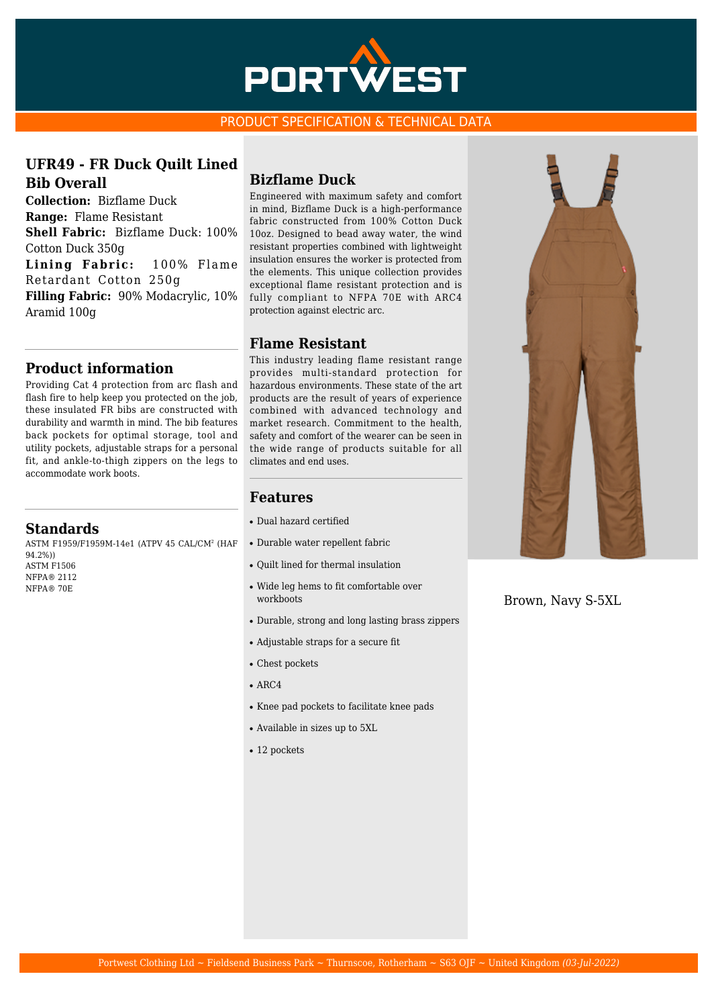

#### PRODUCT SPECIFICATION & TECHNICAL DATA

## **UFR49 - FR Duck Quilt Lined Bib Overall**

**Collection:** Bizflame Duck **Range:** Flame Resistant **Shell Fabric:** Bizflame Duck: 100% Cotton Duck 350g **Lining Fabric:** 100% Flame Retardant Cotton 250g **Filling Fabric:** 90% Modacrylic, 10% Aramid 100g

## **Product information**

Providing Cat 4 protection from arc flash and flash fire to help keep you protected on the job, these insulated FR bibs are constructed with durability and warmth in mind. The bib features back pockets for optimal storage, tool and utility pockets, adjustable straps for a personal fit, and ankle-to-thigh zippers on the legs to accommodate work boots.

#### **Standards**

ASTM F1959/F1959M-14e1 (ATPV 45 CAL/CM<sup>2</sup> (HAF 94.2%))

ASTM F1506 NFPA® 2112 NFPA® 70E

## **Bizflame Duck**

Engineered with maximum safety and comfort in mind, Bizflame Duck is a high-performance fabric constructed from 100% Cotton Duck 10oz. Designed to bead away water, the wind resistant properties combined with lightweight insulation ensures the worker is protected from the elements. This unique collection provides exceptional flame resistant protection and is fully compliant to NFPA 70E with ARC4 protection against electric arc.

#### **Flame Resistant**

This industry leading flame resistant range provides multi-standard protection for hazardous environments. These state of the art products are the result of years of experience combined with advanced technology and market research. Commitment to the health, safety and comfort of the wearer can be seen in the wide range of products suitable for all climates and end uses.

## **Features**

- Dual hazard certified
- Durable water repellent fabric
- Ouilt lined for thermal insulation
- Wide leg hems to fit comfortable over workboots
- Durable, strong and long lasting brass zippers
- Adjustable straps for a secure fit
- Chest pockets
- $\bullet$  ARC4
- Knee pad pockets to facilitate knee pads
- Available in sizes up to 5XL
- 12 pockets



Brown, Navy S-5XL